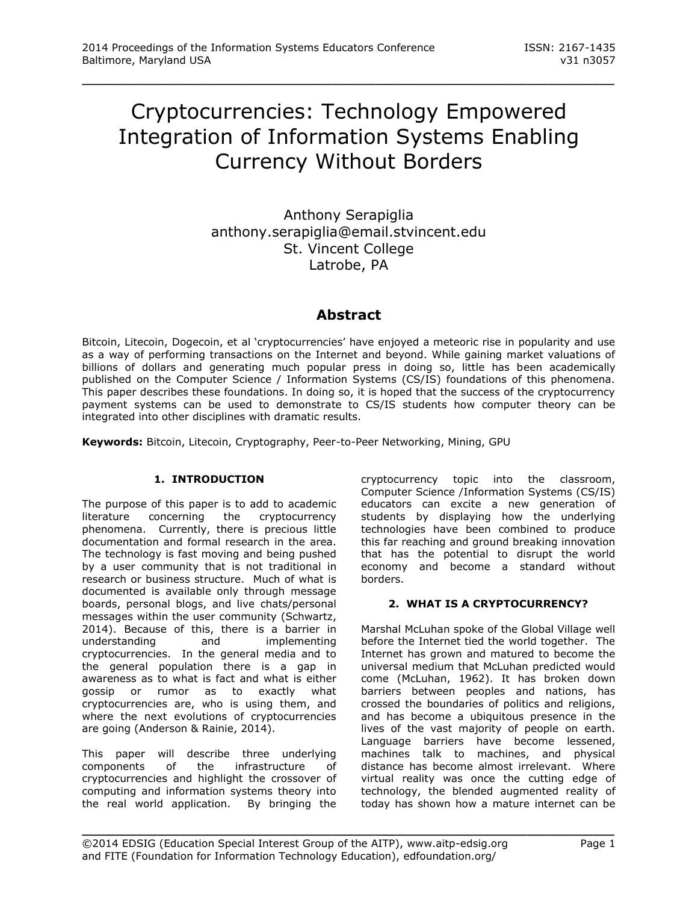# Cryptocurrencies: Technology Empowered Integration of Information Systems Enabling Currency Without Borders

\_\_\_\_\_\_\_\_\_\_\_\_\_\_\_\_\_\_\_\_\_\_\_\_\_\_\_\_\_\_\_\_\_\_\_\_\_\_\_\_\_\_\_\_\_\_\_\_\_

Anthony Serapiglia anthony.serapiglia@email.stvincent.edu St. Vincent College Latrobe, PA

# **Abstract**

Bitcoin, Litecoin, Dogecoin, et al 'cryptocurrencies' have enjoyed a meteoric rise in popularity and use as a way of performing transactions on the Internet and beyond. While gaining market valuations of billions of dollars and generating much popular press in doing so, little has been academically published on the Computer Science / Information Systems (CS/IS) foundations of this phenomena. This paper describes these foundations. In doing so, it is hoped that the success of the cryptocurrency payment systems can be used to demonstrate to CS/IS students how computer theory can be integrated into other disciplines with dramatic results.

**Keywords:** Bitcoin, Litecoin, Cryptography, Peer-to-Peer Networking, Mining, GPU

## **1. INTRODUCTION**

The purpose of this paper is to add to academic literature concerning the cryptocurrency phenomena. Currently, there is precious little documentation and formal research in the area. The technology is fast moving and being pushed by a user community that is not traditional in research or business structure. Much of what is documented is available only through message boards, personal blogs, and live chats/personal messages within the user community (Schwartz, 2014). Because of this, there is a barrier in understanding and implementing cryptocurrencies. In the general media and to the general population there is a gap in awareness as to what is fact and what is either gossip or rumor as to exactly what cryptocurrencies are, who is using them, and where the next evolutions of cryptocurrencies are going (Anderson & Rainie, 2014).

This paper will describe three underlying components of the infrastructure of cryptocurrencies and highlight the crossover of computing and information systems theory into the real world application. By bringing the

cryptocurrency topic into the classroom, Computer Science /Information Systems (CS/IS) educators can excite a new generation of students by displaying how the underlying technologies have been combined to produce this far reaching and ground breaking innovation that has the potential to disrupt the world economy and become a standard without borders.

## **2. WHAT IS A CRYPTOCURRENCY?**

Marshal McLuhan spoke of the Global Village well before the Internet tied the world together. The Internet has grown and matured to become the universal medium that McLuhan predicted would come (McLuhan, 1962). It has broken down barriers between peoples and nations, has crossed the boundaries of politics and religions, and has become a ubiquitous presence in the lives of the vast majority of people on earth. Language barriers have become lessened, machines talk to machines, and physical distance has become almost irrelevant. Where virtual reality was once the cutting edge of technology, the blended augmented reality of today has shown how a mature internet can be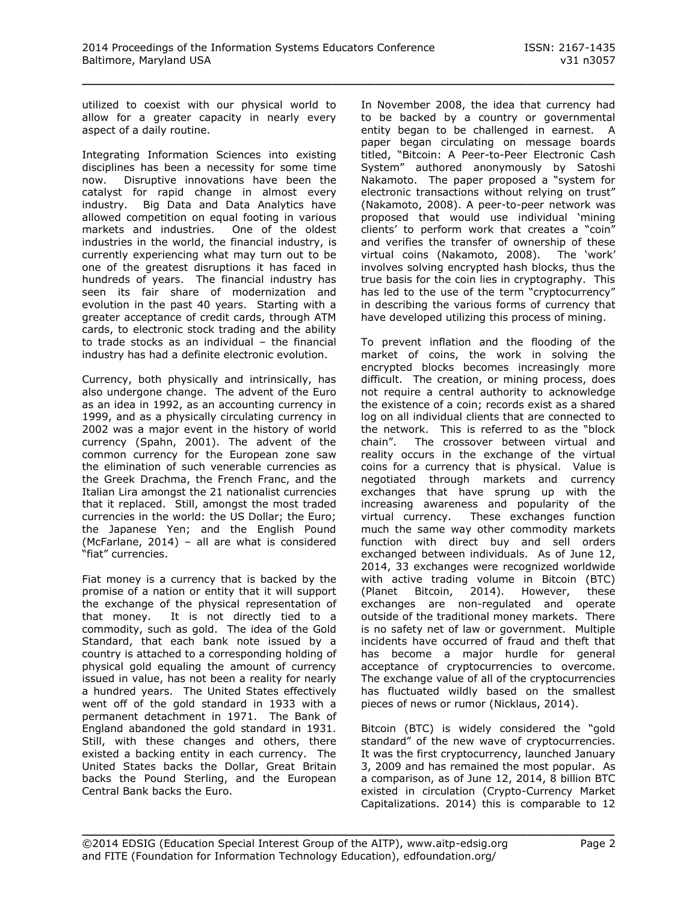utilized to coexist with our physical world to allow for a greater capacity in nearly every aspect of a daily routine.

Integrating Information Sciences into existing disciplines has been a necessity for some time now. Disruptive innovations have been the catalyst for rapid change in almost every industry. Big Data and Data Analytics have allowed competition on equal footing in various<br>markets and industries. One of the oldest markets and industries. industries in the world, the financial industry, is currently experiencing what may turn out to be one of the greatest disruptions it has faced in hundreds of years. The financial industry has seen its fair share of modernization and evolution in the past 40 years. Starting with a greater acceptance of credit cards, through ATM cards, to electronic stock trading and the ability to trade stocks as an individual – the financial industry has had a definite electronic evolution.

Currency, both physically and intrinsically, has also undergone change. The advent of the Euro as an idea in 1992, as an accounting currency in 1999, and as a physically circulating currency in 2002 was a major event in the history of world currency (Spahn, 2001). The advent of the common currency for the European zone saw the elimination of such venerable currencies as the Greek Drachma, the French Franc, and the Italian Lira amongst the 21 nationalist currencies that it replaced. Still, amongst the most traded currencies in the world: the US Dollar; the Euro; the Japanese Yen; and the English Pound (McFarlane, 2014) – all are what is considered "fiat" currencies.

Fiat money is a currency that is backed by the promise of a nation or entity that it will support the exchange of the physical representation of that money. It is not directly tied to a commodity, such as gold. The idea of the Gold Standard, that each bank note issued by a country is attached to a corresponding holding of physical gold equaling the amount of currency issued in value, has not been a reality for nearly a hundred years. The United States effectively went off of the gold standard in 1933 with a permanent detachment in 1971. The Bank of England abandoned the gold standard in 1931. Still, with these changes and others, there existed a backing entity in each currency. The United States backs the Dollar, Great Britain backs the Pound Sterling, and the European Central Bank backs the Euro.

In November 2008, the idea that currency had to be backed by a country or governmental entity began to be challenged in earnest. A paper began circulating on message boards titled, "Bitcoin: A Peer-to-Peer Electronic Cash System" authored anonymously by Satoshi Nakamoto. The paper proposed a "system for electronic transactions without relying on trust" (Nakamoto, 2008). A peer-to-peer network was proposed that would use individual 'mining clients' to perform work that creates a "coin" and verifies the transfer of ownership of these virtual coins (Nakamoto, 2008). The 'work' involves solving encrypted hash blocks, thus the true basis for the coin lies in cryptography. This has led to the use of the term "cryptocurrency" in describing the various forms of currency that have developed utilizing this process of mining.

To prevent inflation and the flooding of the market of coins, the work in solving the encrypted blocks becomes increasingly more difficult. The creation, or mining process, does not require a central authority to acknowledge the existence of a coin; records exist as a shared log on all individual clients that are connected to the network. This is referred to as the "block chain". The crossover between virtual and reality occurs in the exchange of the virtual coins for a currency that is physical. Value is negotiated through markets and currency exchanges that have sprung up with the increasing awareness and popularity of the virtual currency. These exchanges function much the same way other commodity markets function with direct buy and sell orders exchanged between individuals. As of June 12, 2014, 33 exchanges were recognized worldwide with active trading volume in Bitcoin (BTC) (Planet Bitcoin, 2014). However, these exchanges are non-regulated and operate outside of the traditional money markets. There is no safety net of law or government. Multiple incidents have occurred of fraud and theft that has become a major hurdle for general acceptance of cryptocurrencies to overcome. The exchange value of all of the cryptocurrencies has fluctuated wildly based on the smallest pieces of news or rumor (Nicklaus, 2014).

Bitcoin (BTC) is widely considered the "gold standard" of the new wave of cryptocurrencies. It was the first cryptocurrency, launched January 3, 2009 and has remained the most popular. As a comparison, as of June 12, 2014, 8 billion BTC existed in circulation (Crypto-Currency Market Capitalizations. 2014) this is comparable to 12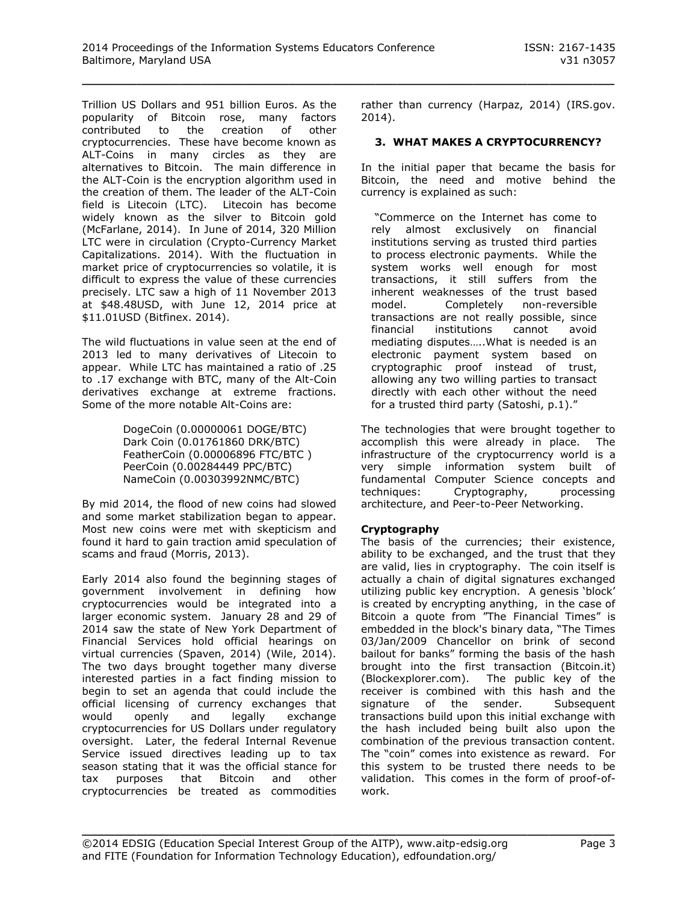Trillion US Dollars and 951 billion Euros. As the popularity of Bitcoin rose, many factors contributed to the creation of other cryptocurrencies. These have become known as ALT-Coins in many circles as they are alternatives to Bitcoin. The main difference in the ALT-Coin is the encryption algorithm used in the creation of them. The leader of the ALT-Coin field is Litecoin (LTC). Litecoin has become widely known as the silver to Bitcoin gold (McFarlane, 2014). In June of 2014, 320 Million LTC were in circulation (Crypto-Currency Market Capitalizations. 2014). With the fluctuation in market price of cryptocurrencies so volatile, it is difficult to express the value of these currencies precisely. LTC saw a high of 11 November 2013 at \$48.48USD, with June 12, 2014 price at \$11.01USD (Bitfinex. 2014).

The wild fluctuations in value seen at the end of 2013 led to many derivatives of Litecoin to appear. While LTC has maintained a ratio of .25 to .17 exchange with BTC, many of the Alt-Coin derivatives exchange at extreme fractions. Some of the more notable Alt-Coins are:

> DogeCoin (0.00000061 DOGE/BTC) Dark Coin (0.01761860 DRK/BTC) FeatherCoin (0.00006896 FTC/BTC ) PeerCoin (0.00284449 PPC/BTC) NameCoin (0.00303992NMC/BTC)

By mid 2014, the flood of new coins had slowed and some market stabilization began to appear. Most new coins were met with skepticism and found it hard to gain traction amid speculation of scams and fraud (Morris, 2013).

Early 2014 also found the beginning stages of government involvement in defining how cryptocurrencies would be integrated into a larger economic system. January 28 and 29 of 2014 saw the state of New York Department of Financial Services hold official hearings on virtual currencies (Spaven, 2014) (Wile, 2014). The two days brought together many diverse interested parties in a fact finding mission to begin to set an agenda that could include the official licensing of currency exchanges that would openly and legally exchange cryptocurrencies for US Dollars under regulatory oversight. Later, the federal Internal Revenue Service issued directives leading up to tax season stating that it was the official stance for tax purposes that Bitcoin and other cryptocurrencies be treated as commodities

rather than currency (Harpaz, 2014) (IRS.gov. 2014).

# **3. WHAT MAKES A CRYPTOCURRENCY?**

In the initial paper that became the basis for Bitcoin, the need and motive behind the currency is explained as such:

"Commerce on the Internet has come to rely almost exclusively on financial institutions serving as trusted third parties to process electronic payments. While the system works well enough for most transactions, it still suffers from the inherent weaknesses of the trust based model. Completely non-reversible transactions are not really possible, since financial institutions cannot avoid mediating disputes…..What is needed is an electronic payment system based on cryptographic proof instead of trust, allowing any two willing parties to transact directly with each other without the need for a trusted third party (Satoshi, p.1)."

The technologies that were brought together to accomplish this were already in place. The infrastructure of the cryptocurrency world is a very simple information system built of fundamental Computer Science concepts and techniques: Cryptography, processing architecture, and Peer-to-Peer Networking.

## **Cryptography**

The basis of the currencies; their existence, ability to be exchanged, and the trust that they are valid, lies in cryptography. The coin itself is actually a chain of digital signatures exchanged utilizing public key encryption. A genesis 'block' is created by encrypting anything, in the case of Bitcoin a quote from "The Financial Times" is embedded in the block's binary data, "The Times 03/Jan/2009 Chancellor on brink of second bailout for banks" forming the basis of the hash brought into the first transaction (Bitcoin.it) (Blockexplorer.com). The public key of the receiver is combined with this hash and the signature of the sender. Subsequent transactions build upon this initial exchange with the hash included being built also upon the combination of the previous transaction content. The "coin" comes into existence as reward. For this system to be trusted there needs to be validation. This comes in the form of proof-ofwork.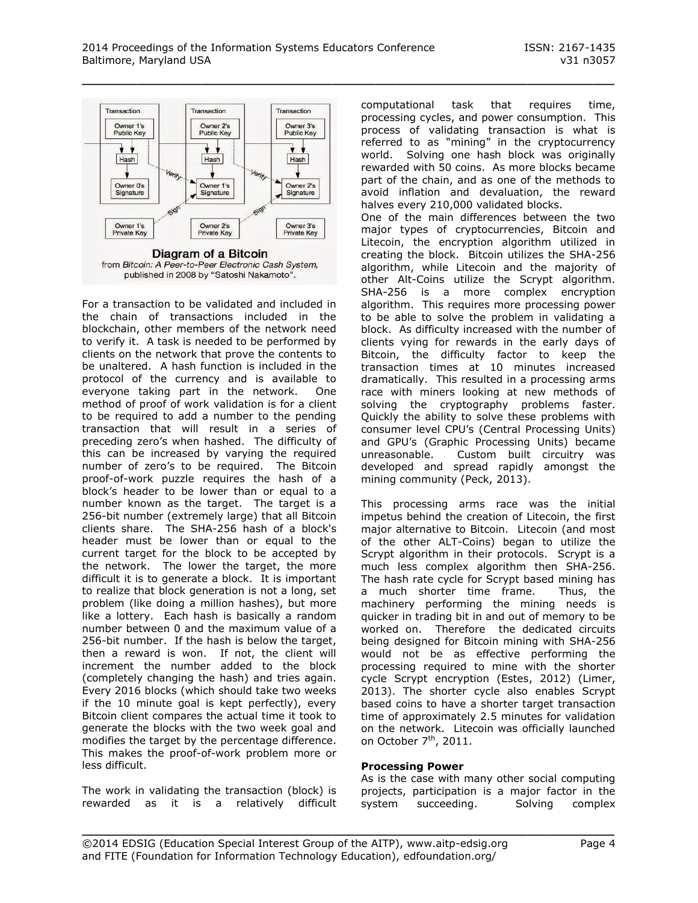

For a transaction to be validated and included in the chain of transactions included in the blockchain, other members of the network need to verify it. A task is needed to be performed by clients on the network that prove the contents to be unaltered. A hash function is included in the protocol of the currency and is available to everyone taking part in the network. One method of proof of work validation is for a client to be required to add a number to the pending transaction that will result in a series of preceding zero's when hashed. The difficulty of this can be increased by varying the required number of zero's to be required. The Bitcoin proof-of-work puzzle requires the hash of a block's header to be lower than or equal to a number known as the target. The target is a 256-bit number (extremely large) that all Bitcoin clients share. The SHA-256 hash of a block's header must be lower than or equal to the current target for the block to be accepted by the network. The lower the target, the more difficult it is to generate a block. It is important to realize that block generation is not a long, set problem (like doing a million hashes), but more like a lottery. Each hash is basically a random number between 0 and the maximum value of a 256-bit number. If the hash is below the target, then a reward is won. If not, the client will increment the number added to the block (completely changing the hash) and tries again. Every 2016 blocks (which should take two weeks if the 10 minute goal is kept perfectly), every Bitcoin client compares the actual time it took to generate the blocks with the two week goal and modifies the target by the percentage difference. This makes the proof-of-work problem more or less difficult.

The work in validating the transaction (block) is rewarded as it is a relatively difficult computational task that requires time, processing cycles, and power consumption. This process of validating transaction is what is referred to as "mining" in the cryptocurrency world. Solving one hash block was originally rewarded with 50 coins. As more blocks became part of the chain, and as one of the methods to avoid inflation and devaluation, the reward halves every 210,000 validated blocks. One of the main differences between the two major types of cryptocurrencies, Bitcoin and Litecoin, the encryption algorithm utilized in creating the block. Bitcoin utilizes the SHA-256 algorithm, while Litecoin and the majority of other Alt-Coins utilize the Scrypt algorithm. SHA-256 is a more complex encryption algorithm. This requires more processing power to be able to solve the problem in validating a block. As difficulty increased with the number of clients vying for rewards in the early days of Bitcoin, the difficulty factor to keep the transaction times at 10 minutes increased dramatically. This resulted in a processing arms race with miners looking at new methods of solving the cryptography problems faster. Quickly the ability to solve these problems with consumer level CPU's (Central Processing Units) and GPU's (Graphic Processing Units) became unreasonable. Custom built circuitry was developed and spread rapidly amongst the mining community (Peck, 2013).

This processing arms race was the initial impetus behind the creation of Litecoin, the first major alternative to Bitcoin. Litecoin (and most of the other ALT-Coins) began to utilize the Scrypt algorithm in their protocols. Scrypt is a much less complex algorithm then SHA-256. The hash rate cycle for Scrypt based mining has<br>a much shorter time frame. Thus, the a much shorter time frame. machinery performing the mining needs is quicker in trading bit in and out of memory to be worked on. Therefore the dedicated circuits being designed for Bitcoin mining with SHA-256 would not be as effective performing the processing required to mine with the shorter cycle Scrypt encryption (Estes, 2012) (Limer, 2013). The shorter cycle also enables Scrypt based coins to have a shorter target transaction time of approximately 2.5 minutes for validation on the network. Litecoin was officially launched on October 7<sup>th</sup>, 2011.

#### **Processing Power**

As is the case with many other social computing projects, participation is a major factor in the system succeeding. Solving complex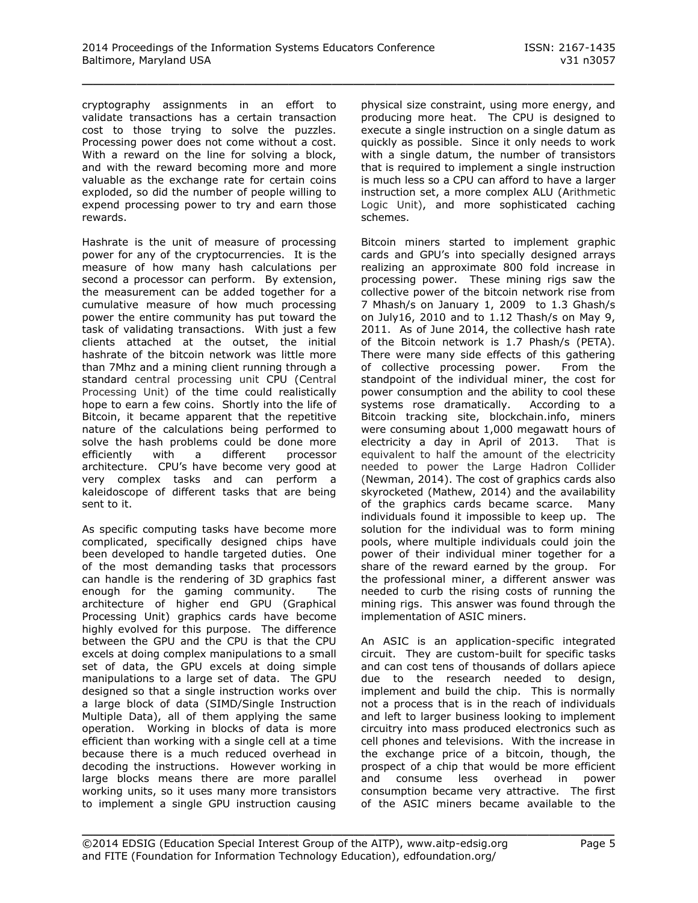cryptography assignments in an effort to validate transactions has a certain transaction cost to those trying to solve the puzzles. Processing power does not come without a cost. With a reward on the line for solving a block, and with the reward becoming more and more valuable as the exchange rate for certain coins exploded, so did the number of people willing to expend processing power to try and earn those rewards.

Hashrate is the unit of measure of processing power for any of the cryptocurrencies. It is the measure of how many hash calculations per second a processor can perform. By extension, the measurement can be added together for a cumulative measure of how much processing power the entire community has put toward the task of validating transactions. With just a few clients attached at the outset, the initial hashrate of the bitcoin network was little more than 7Mhz and a mining client running through a standard central processing unit CPU (Central Processing Unit) of the time could realistically hope to earn a few coins. Shortly into the life of Bitcoin, it became apparent that the repetitive nature of the calculations being performed to solve the hash problems could be done more efficiently with a different processor architecture. CPU's have become very good at very complex tasks and can perform a kaleidoscope of different tasks that are being sent to it.

As specific computing tasks have become more complicated, specifically designed chips have been developed to handle targeted duties. One of the most demanding tasks that processors can handle is the rendering of 3D graphics fast enough for the gaming community. The architecture of higher end GPU (Graphical Processing Unit) graphics cards have become highly evolved for this purpose. The difference between the GPU and the CPU is that the CPU excels at doing complex manipulations to a small set of data, the GPU excels at doing simple manipulations to a large set of data. The GPU designed so that a single instruction works over a large block of data (SIMD/Single Instruction Multiple Data), all of them applying the same operation. Working in blocks of data is more efficient than working with a single cell at a time because there is a much reduced overhead in decoding the instructions. However working in large blocks means there are more parallel working units, so it uses many more transistors to implement a single GPU instruction causing

physical size constraint, using more energy, and producing more heat. The CPU is designed to execute a single instruction on a single datum as quickly as possible. Since it only needs to work with a single datum, the number of transistors that is required to implement a single instruction is much less so a CPU can afford to have a larger instruction set, a more complex ALU (Arithmetic Logic Unit), and more sophisticated caching schemes.

Bitcoin miners started to implement graphic cards and GPU's into specially designed arrays realizing an approximate 800 fold increase in processing power. These mining rigs saw the collective power of the bitcoin network rise from 7 Mhash/s on January 1, 2009 to 1.3 Ghash/s on July16, 2010 and to 1.12 Thash/s on May 9, 2011. As of June 2014, the collective hash rate of the Bitcoin network is 1.7 Phash/s (PETA). There were many side effects of this gathering of collective processing power. From the standpoint of the individual miner, the cost for power consumption and the ability to cool these systems rose dramatically. According to a Bitcoin tracking site, blockchain.info, miners were consuming about 1,000 megawatt hours of electricity a day in April of 2013. That is equivalent to half the amount of the electricity needed to power the Large Hadron Collider (Newman, 2014). The cost of graphics cards also skyrocketed (Mathew, 2014) and the availability of the graphics cards became scarce. Many individuals found it impossible to keep up. The solution for the individual was to form mining pools, where multiple individuals could join the power of their individual miner together for a share of the reward earned by the group. For the professional miner, a different answer was needed to curb the rising costs of running the mining rigs. This answer was found through the implementation of ASIC miners.

An ASIC is an application-specific integrated circuit. They are custom-built for specific tasks and can cost tens of thousands of dollars apiece due to the research needed to design, implement and build the chip. This is normally not a process that is in the reach of individuals and left to larger business looking to implement circuitry into mass produced electronics such as cell phones and televisions. With the increase in the exchange price of a bitcoin, though, the prospect of a chip that would be more efficient and consume less overhead in power consumption became very attractive. The first of the ASIC miners became available to the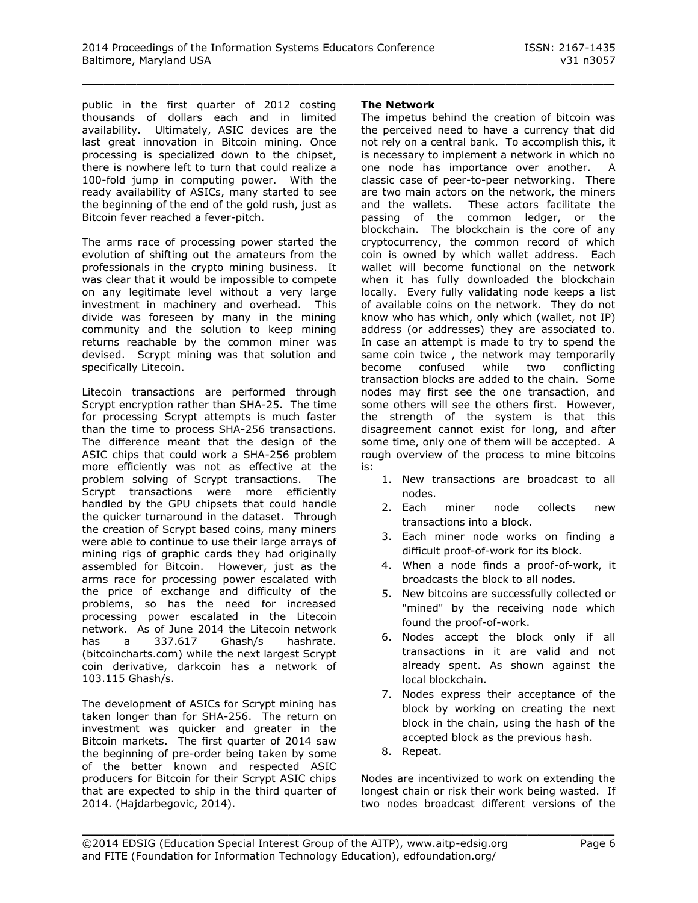public in the first quarter of 2012 costing thousands of dollars each and in limited availability. Ultimately, ASIC devices are the last great innovation in Bitcoin mining. Once processing is specialized down to the chipset, there is nowhere left to turn that could realize a 100-fold jump in computing power. With the ready availability of ASICs, many started to see the beginning of the end of the gold rush, just as Bitcoin fever reached a fever-pitch.

The arms race of processing power started the evolution of shifting out the amateurs from the professionals in the crypto mining business. It was clear that it would be impossible to compete on any legitimate level without a very large investment in machinery and overhead. This divide was foreseen by many in the mining community and the solution to keep mining returns reachable by the common miner was devised. Scrypt mining was that solution and specifically Litecoin.

Litecoin transactions are performed through Scrypt encryption rather than SHA-25. The time for processing Scrypt attempts is much faster than the time to process SHA-256 transactions. The difference meant that the design of the ASIC chips that could work a SHA-256 problem more efficiently was not as effective at the problem solving of Scrypt transactions. The Scrypt transactions were more efficiently handled by the GPU chipsets that could handle the quicker turnaround in the dataset. Through the creation of Scrypt based coins, many miners were able to continue to use their large arrays of mining rigs of graphic cards they had originally assembled for Bitcoin. However, just as the arms race for processing power escalated with the price of exchange and difficulty of the problems, so has the need for increased processing power escalated in the Litecoin network. As of June 2014 the Litecoin network has a 337.617 Ghash/s hashrate. (bitcoincharts.com) while the next largest Scrypt coin derivative, darkcoin has a network of 103.115 Ghash/s.

The development of ASICs for Scrypt mining has taken longer than for SHA-256. The return on investment was quicker and greater in the Bitcoin markets. The first quarter of 2014 saw the beginning of pre-order being taken by some of the better known and respected ASIC producers for Bitcoin for their Scrypt ASIC chips that are expected to ship in the third quarter of 2014. (Hajdarbegovic, 2014).

#### **The Network**

\_\_\_\_\_\_\_\_\_\_\_\_\_\_\_\_\_\_\_\_\_\_\_\_\_\_\_\_\_\_\_\_\_\_\_\_\_\_\_\_\_\_\_\_\_\_\_\_\_

The impetus behind the creation of bitcoin was the perceived need to have a currency that did not rely on a central bank. To accomplish this, it is necessary to implement a network in which no one node has importance over another. A classic case of peer-to-peer networking. There are two main actors on the network, the miners and the wallets. These actors facilitate the passing of the common ledger, or the blockchain. The blockchain is the core of any cryptocurrency, the common record of which coin is owned by which wallet address. Each wallet will become functional on the network when it has fully downloaded the blockchain locally. Every fully validating node keeps a list of available coins on the network. They do not know who has which, only which (wallet, not IP) address (or addresses) they are associated to. In case an attempt is made to try to spend the same coin twice , the network may temporarily become confused while two conflicting transaction blocks are added to the chain. Some nodes may first see the one transaction, and some others will see the others first. However, the strength of the system is that this disagreement cannot exist for long, and after some time, only one of them will be accepted. A rough overview of the process to mine bitcoins is:

- 1. New transactions are broadcast to all nodes.
- 2. Each miner node collects new transactions into a block.
- 3. Each miner node works on finding a difficult proof-of-work for its block.
- 4. When a node finds a proof-of-work, it broadcasts the block to all nodes.
- 5. New bitcoins are successfully collected or "mined" by the receiving node which found the proof-of-work.
- 6. Nodes accept the block only if all transactions in it are valid and not already spent. As shown against the local blockchain.
- 7. Nodes express their acceptance of the block by working on creating the next block in the chain, using the hash of the accepted block as the previous hash.
- 8. Repeat.

Nodes are incentivized to work on extending the longest chain or risk their work being wasted. If two nodes broadcast different versions of the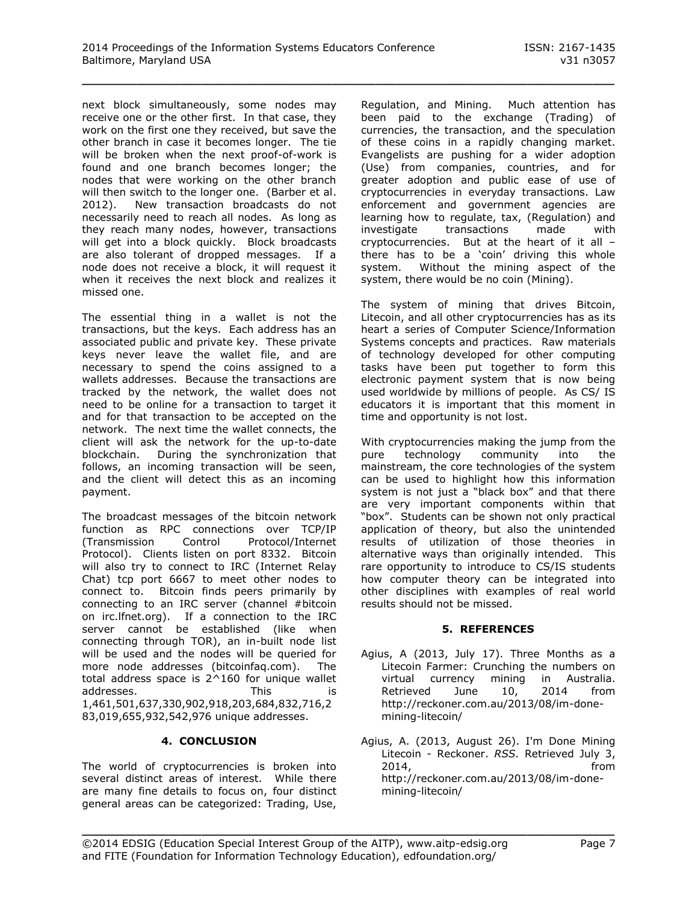next block simultaneously, some nodes may receive one or the other first. In that case, they work on the first one they received, but save the other branch in case it becomes longer. The tie will be broken when the next proof-of-work is found and one branch becomes longer; the nodes that were working on the other branch will then switch to the longer one. (Barber et al. 2012). New transaction broadcasts do not necessarily need to reach all nodes. As long as they reach many nodes, however, transactions will get into a block quickly. Block broadcasts are also tolerant of dropped messages. If a node does not receive a block, it will request it when it receives the next block and realizes it missed one.

The essential thing in a wallet is not the transactions, but the keys. Each address has an associated public and private key. These private keys never leave the wallet file, and are necessary to spend the coins assigned to a wallets addresses. Because the transactions are tracked by the network, the wallet does not need to be online for a transaction to target it and for that transaction to be accepted on the network. The next time the wallet connects, the client will ask the network for the up-to-date blockchain. During the synchronization that follows, an incoming transaction will be seen, and the client will detect this as an incoming payment.

The broadcast messages of the bitcoin network function as RPC connections over TCP/IP (Transmission Control Protocol/Internet Protocol). Clients listen on port 8332. Bitcoin will also try to connect to IRC (Internet Relay Chat) tcp port 6667 to meet other nodes to connect to. Bitcoin finds peers primarily by connecting to an IRC server (channel #bitcoin on irc.lfnet.org). If a connection to the IRC server cannot be established (like when connecting through TOR), an in-built node list will be used and the nodes will be queried for more node addresses (bitcoinfaq.com). The total address space is 2^160 for unique wallet addresses. This is 1,461,501,637,330,902,918,203,684,832,716,2 83,019,655,932,542,976 unique addresses.

## **4. CONCLUSION**

The world of cryptocurrencies is broken into several distinct areas of interest. While there are many fine details to focus on, four distinct general areas can be categorized: Trading, Use,

Regulation, and Mining. Much attention has been paid to the exchange (Trading) of currencies, the transaction, and the speculation of these coins in a rapidly changing market. Evangelists are pushing for a wider adoption (Use) from companies, countries, and for greater adoption and public ease of use of cryptocurrencies in everyday transactions. Law enforcement and government agencies are learning how to regulate, tax, (Regulation) and investigate transactions made with cryptocurrencies. But at the heart of it all – there has to be a 'coin' driving this whole system. Without the mining aspect of the system, there would be no coin (Mining).

The system of mining that drives Bitcoin, Litecoin, and all other cryptocurrencies has as its heart a series of Computer Science/Information Systems concepts and practices. Raw materials of technology developed for other computing tasks have been put together to form this electronic payment system that is now being used worldwide by millions of people. As CS/ IS educators it is important that this moment in time and opportunity is not lost.

With cryptocurrencies making the jump from the pure technology community into the mainstream, the core technologies of the system can be used to highlight how this information system is not just a "black box" and that there are very important components within that "box". Students can be shown not only practical application of theory, but also the unintended results of utilization of those theories in alternative ways than originally intended. This rare opportunity to introduce to CS/IS students how computer theory can be integrated into other disciplines with examples of real world results should not be missed.

#### **5. REFERENCES**

- Agius, A (2013, July 17). Three Months as a Litecoin Farmer: Crunching the numbers on virtual currency mining in Australia. Retrieved June 10, 2014 from [http://reckoner.com.au/2013/08/im-done](http://reckoner.com.au/2013/08/im-done-mining-litecoin/)[mining-litecoin/](http://reckoner.com.au/2013/08/im-done-mining-litecoin/)
- Agius, A. (2013, August 26). I'm Done Mining Litecoin - Reckoner. *RSS*. Retrieved July 3, 2014, from [http://reckoner.com.au/2013/08/im-done](http://reckoner.com.au/2013/08/im-done-mining-litecoin/)[mining-litecoin/](http://reckoner.com.au/2013/08/im-done-mining-litecoin/)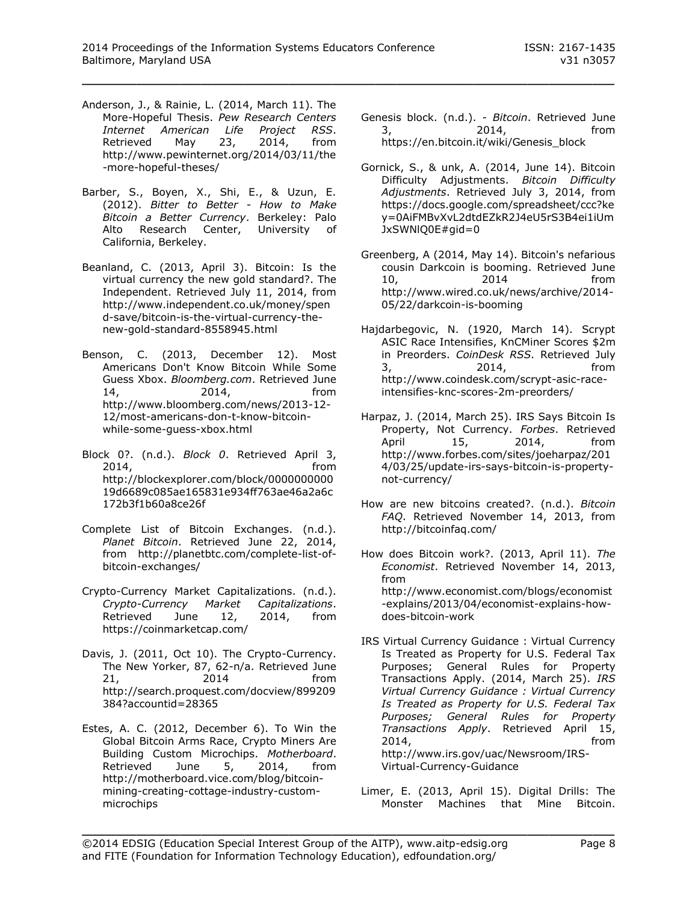- Anderson, J., & Rainie, L. (2014, March 11). The More-Hopeful Thesis. *Pew Research Centers Internet American Life Project RSS*. Retrieved May 23, 2014, from http://www.pewinternet.org/2014/03/11/the -more-hopeful-theses/
- Barber, S., Boyen, X., Shi, E., & Uzun, E. (2012). *Bitter to Better - How to Make Bitcoin a Better Currency*. Berkeley: Palo Alto Research Center, University of California, Berkeley.
- Beanland, C. (2013, April 3). Bitcoin: Is the virtual currency the new gold standard?. The Independent. Retrieved July 11, 2014, from http://www.independent.co.uk/money/spen d-save/bitcoin-is-the-virtual-currency-thenew-gold-standard-8558945.html
- Benson, C. (2013, December 12). Most Americans Don't Know Bitcoin While Some Guess Xbox. *Bloomberg.com*. Retrieved June 14, 2014, from http://www.bloomberg.com/news/2013-12- 12/most-americans-don-t-know-bitcoinwhile-some-guess-xbox.html
- Block 0?. (n.d.). *Block 0*. Retrieved April 3, 2014, from http://blockexplorer.com/block/0000000000 19d6689c085ae165831e934ff763ae46a2a6c 172b3f1b60a8ce26f
- Complete List of Bitcoin Exchanges. (n.d.). *Planet Bitcoin*. Retrieved June 22, 2014, from http://planetbtc.com/complete-list-ofbitcoin-exchanges/
- Crypto-Currency Market Capitalizations. (n.d.). *Crypto-Currency Market Capitalizations*. Retrieved June 12, 2014, from https://coinmarketcap.com/
- Davis, J. (2011, Oct 10). The Crypto-Currency. The New Yorker, 87, 62-n/a. Retrieved June 21, 2014 from http://search.proquest.com/docview/899209 384?accountid=28365
- Estes, A. C. (2012, December 6). To Win the Global Bitcoin Arms Race, Crypto Miners Are Building Custom Microchips. *Motherboard*. Retrieved June 5, 2014, from http://motherboard.vice.com/blog/bitcoinmining-creating-cottage-industry-custommicrochips
- Genesis block. (n.d.). *- Bitcoin*. Retrieved June 3, 2014, from https://en.bitcoin.it/wiki/Genesis\_block
- Gornick, S., & unk, A. (2014, June 14). Bitcoin Difficulty Adjustments. *Bitcoin Difficulty Adjustments*. Retrieved July 3, 2014, from [https://docs.google.com/spreadsheet/ccc?ke](https://docs.google.com/spreadsheet/ccc?key=0AiFMBvXvL2dtdEZkR2J4eU5rS3B4ei1iUmJxSWNlQ0E#gid=0) [y=0AiFMBvXvL2dtdEZkR2J4eU5rS3B4ei1iUm](https://docs.google.com/spreadsheet/ccc?key=0AiFMBvXvL2dtdEZkR2J4eU5rS3B4ei1iUmJxSWNlQ0E#gid=0) [JxSWNlQ0E#gid=0](https://docs.google.com/spreadsheet/ccc?key=0AiFMBvXvL2dtdEZkR2J4eU5rS3B4ei1iUmJxSWNlQ0E#gid=0)
- Greenberg, A (2014, May 14). Bitcoin's nefarious cousin Darkcoin is booming. Retrieved June 10, 2014 from http://www.wired.co.uk/news/archive/2014- 05/22/darkcoin-is-booming
- Hajdarbegovic, N. (1920, March 14). Scrypt ASIC Race Intensifies, KnCMiner Scores \$2m in Preorders. *CoinDesk RSS*. Retrieved July 3, 2014, from http://www.coindesk.com/scrypt-asic-raceintensifies-knc-scores-2m-preorders/
- Harpaz, J. (2014, March 25). IRS Says Bitcoin Is Property, Not Currency. *Forbes*. Retrieved April 15, 2014, from http://www.forbes.com/sites/joeharpaz/201 4/03/25/update-irs-says-bitcoin-is-propertynot-currency/
- How are new bitcoins created?. (n.d.). *Bitcoin FAQ*. Retrieved November 14, 2013, from http://bitcoinfaq.com/
- How does Bitcoin work?. (2013, April 11). *The Economist*. Retrieved November 14, 2013, from http://www.economist.com/blogs/economist -explains/2013/04/economist-explains-howdoes-bitcoin-work
- IRS Virtual Currency Guidance : Virtual Currency Is Treated as Property for U.S. Federal Tax Purposes; General Rules for Property Transactions Apply. (2014, March 25). *IRS Virtual Currency Guidance : Virtual Currency Is Treated as Property for U.S. Federal Tax Purposes; General Rules for Property Transactions Apply*. Retrieved April 15, 2014, from http://www.irs.gov/uac/Newsroom/IRS-Virtual-Currency-Guidance
- Limer, E. (2013, April 15). Digital Drills: The Monster Machines that Mine Bitcoin.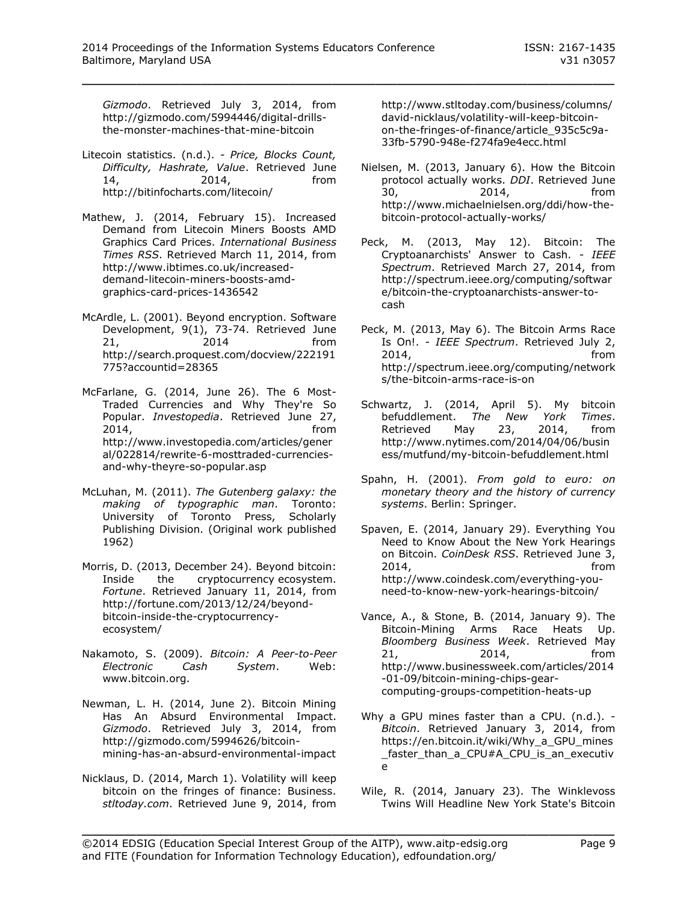*Gizmodo*. Retrieved July 3, 2014, from http://gizmodo.com/5994446/digital-drillsthe-monster-machines-that-mine-bitcoin

- Litecoin statistics. (n.d.). *- Price, Blocks Count, Difficulty, Hashrate, Value*. Retrieved June 14, 2014, from http://bitinfocharts.com/litecoin/
- Mathew, J. (2014, February 15). Increased Demand from Litecoin Miners Boosts AMD Graphics Card Prices. *International Business Times RSS*. Retrieved March 11, 2014, from http://www.ibtimes.co.uk/increaseddemand-litecoin-miners-boosts-amdgraphics-card-prices-1436542
- McArdle, L. (2001). Beyond encryption. Software Development, 9(1), 73-74. Retrieved June 21, 2014 from http://search.proquest.com/docview/222191 775?accountid=28365
- McFarlane, G. (2014, June 26). The 6 Most-Traded Currencies and Why They're So Popular. *Investopedia*. Retrieved June 27, 2014, from http://www.investopedia.com/articles/gener al/022814/rewrite-6-mosttraded-currenciesand-why-theyre-so-popular.asp
- McLuhan, M. (2011). *The Gutenberg galaxy: the making of typographic man*. Toronto: University of Toronto Press, Scholarly Publishing Division. (Original work published 1962)
- Morris, D. (2013, December 24). Beyond bitcoin: Inside the cryptocurrency ecosystem. *Fortune*. Retrieved January 11, 2014, from http://fortune.com/2013/12/24/beyondbitcoin-inside-the-cryptocurrencyecosystem/
- Nakamoto, S. (2009). *Bitcoin: A Peer-to-Peer Electronic Cash System*. Web: www.bitcoin.org.
- Newman, L. H. (2014, June 2). Bitcoin Mining Has An Absurd Environmental Impact. *Gizmodo*. Retrieved July 3, 2014, from http://gizmodo.com/5994626/bitcoinmining-has-an-absurd-environmental-impact
- Nicklaus, D. (2014, March 1). Volatility will keep bitcoin on the fringes of finance: Business. *stltoday.com*. Retrieved June 9, 2014, from

http://www.stltoday.com/business/columns/ david-nicklaus/volatility-will-keep-bitcoinon-the-fringes-of-finance/article\_935c5c9a-33fb-5790-948e-f274fa9e4ecc.html

- Nielsen, M. (2013, January 6). How the Bitcoin protocol actually works. *DDI*. Retrieved June 30, 2014, from http://www.michaelnielsen.org/ddi/how-thebitcoin-protocol-actually-works/
- Peck, M. (2013, May 12). Bitcoin: The Cryptoanarchists' Answer to Cash. *- IEEE Spectrum*. Retrieved March 27, 2014, from http://spectrum.ieee.org/computing/softwar e/bitcoin-the-cryptoanarchists-answer-tocash
- Peck, M. (2013, May 6). The Bitcoin Arms Race Is On!. *- IEEE Spectrum*. Retrieved July 2, 2014, from http://spectrum.ieee.org/computing/network s/the-bitcoin-arms-race-is-on
- Schwartz, J. (2014, April 5). My bitcoin befuddlement. *The New York Times*. Retrieved May 23, 2014, from http://www.nytimes.com/2014/04/06/busin ess/mutfund/my-bitcoin-befuddlement.html
- Spahn, H. (2001). *From gold to euro: on monetary theory and the history of currency systems*. Berlin: Springer.
- Spaven, E. (2014, January 29). Everything You Need to Know About the New York Hearings on Bitcoin. *CoinDesk RSS*. Retrieved June 3, 2014, from http://www.coindesk.com/everything-youneed-to-know-new-york-hearings-bitcoin/
- Vance, A., & Stone, B. (2014, January 9). The Bitcoin-Mining Arms Race Heats Up. *Bloomberg Business Week*. Retrieved May 21, 2014, from http://www.businessweek.com/articles/2014 -01-09/bitcoin-mining-chips-gearcomputing-groups-competition-heats-up
- Why a GPU mines faster than a CPU. (n.d.). *- Bitcoin*. Retrieved January 3, 2014, from https://en.bitcoin.it/wiki/Why\_a\_GPU\_mines \_faster\_than\_a\_CPU#A\_CPU\_is\_an\_executiv e
- Wile, R. (2014, January 23). The Winklevoss Twins Will Headline New York State's Bitcoin